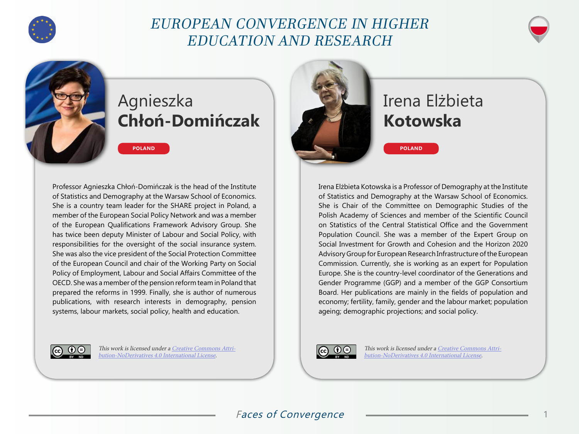

## EUROPEAN CONVERGENCE IN HIGHER EDUCATION AND RESEARCH



## Agnieszka **Chłoń-Domińczak**

Professor Agnieszka Chłoń-Domińczak is the head of the Institute of Statistics and Demography at the Warsaw School of Economics. She is a country team leader for the SHARE project in Poland, a member of the European Social Policy Network and was a member of the European Qualifications Framework Advisory Group. She has twice been deputy Minister of Labour and Social Policy, with responsibilities for the oversight of the social insurance system. She was also the vice president of the Social Protection Committee of the European Council and chair of the Working Party on Social Policy of Employment, Labour and Social Affairs Committee of the OECD. She was a member of the pension reform team in Poland that prepared the reforms in 1999. Finally, she is author of numerous publications, with research interests in demography, pension systems, labour markets, social policy, health and education.

**POLAND**



This work is licensed under a [Creative Commons Attri](https://creativecommons.org/licenses/by-nd/4.0/)[bution-NoDerivatives 4.0 International License](https://creativecommons.org/licenses/by-nd/4.0/).



## Irena Elżbieta **Kotowska**

**POLAND**

Irena Elżbieta Kotowska is a Professor of Demography at the Institute of Statistics and Demography at the Warsaw School of Economics. She is Chair of the Committee on Demographic Studies of the Polish Academy of Sciences and member of the Scientific Council on Statistics of the Central Statistical Office and the Government Population Council. She was a member of the Expert Group on Social Investment for Growth and Cohesion and the Horizon 2020 Advisory Group for European Research Infrastructure of the European Commission. Currently, she is working as an expert for Population Europe. She is the country-level coordinator of the Generations and Gender Programme (GGP) and a member of the GGP Consortium Board. Her publications are mainly in the fields of population and economy; fertility, family, gender and the labour market; population ageing; demographic projections; and social policy.



This work is licensed under a [Creative Commons Attri](https://creativecommons.org/licenses/by-nd/4.0/)[bution-NoDerivatives 4.0 International License](https://creativecommons.org/licenses/by-nd/4.0/).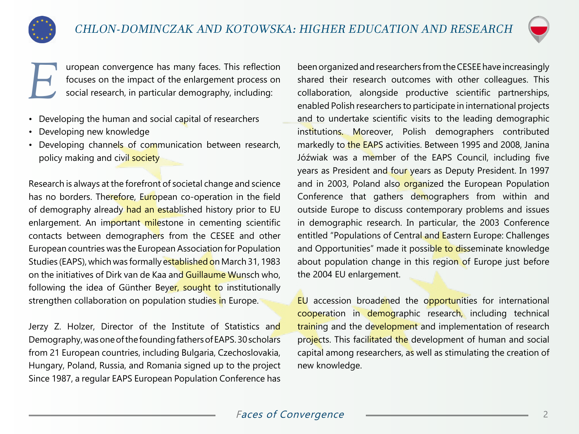



**EXECUTE URBE UP: THE UP OF UP SOLUTE:** This reflection focuses on the impact of the enlargement process on social research, in particular demography, including: focuses on the impact of the enlargement process on social research, in particular demography, including:

- Developing the human and social capital of researchers
- Developing new knowledge
- Developing channels of communication between research, policy making and civil society

Research is always at the forefront of societal change and science has no borders. Therefore, European co-operation in the field of demography already had an established history prior to EU enlargement. An important milestone in cementing scientific contacts between demographers from the CESEE and other European countries was the European Association for Population Studies (EAPS), which was formally established on March 31, 1983 on the initiatives of Dirk van de Kaa and Guillaume Wunsch who, following the idea of Günther Beyer, sought to institutionally strengthen collaboration on population studies in Europe.

Jerzy Z. Holzer, Director of the Institute of Statistics and Demography, was one of the founding fathers of EAPS. 30 scholars from 21 European countries, including Bulgaria, Czechoslovakia, Hungary, Poland, Russia, and Romania signed up to the project Since 1987, a regular EAPS European Population Conference has

been organized and researchers from the CESEE have increasingly shared their research outcomes with other colleagues. This collaboration, alongside productive scientific partnerships, enabled Polish researchers to participate in international projects and to undertake scientific visits to the leading demographic institutions. Moreover, Polish demographers contributed markedly to the EAPS activities. Between 1995 and 2008, Janina Jóźwiak was a member of the EAPS Council, including five years as President and four years as Deputy President. In 1997 and in 2003, Poland also organized the European Population Conference that gathers demographers from within and outside Europe to discuss contemporary problems and issues in demographic research. In particular, the 2003 Conference entitled "Populations of Central and Eastern Europe: Challenges and Opportunities" made it possible to disseminate knowledge about population change in this region of Europe just before the 2004 EU enlargement.

EU accession broadened the opportunities for international cooperation in demographic research, including technical training and the development and implementation of research projects. This facilitated the development of human and social capital among researchers, as well as stimulating the creation of new knowledge.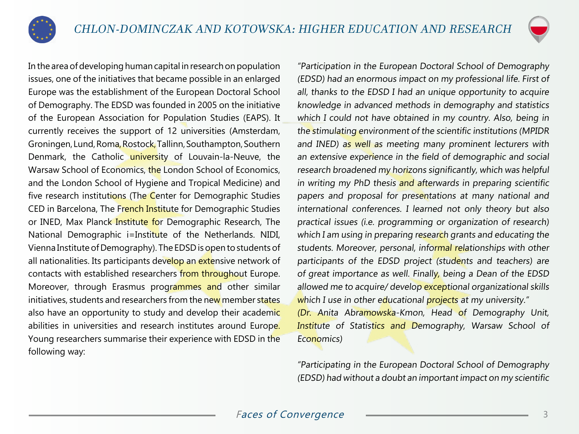



In the area of developing human capital in research on population issues, one of the initiatives that became possible in an enlarged Europe was the establishment of the European Doctoral School of Demography. The EDSD was founded in 2005 on the initiative of the European Association for Population Studies (EAPS). It currently receives the support of 12 universities (Amsterdam, Groningen, Lund, Roma, Rostock, Tallinn, Southampton, Southern Denmark, the Catholic university of Louvain-la-Neuve, the Warsaw School of Economics, the London School of Economics, and the London School of Hygiene and Tropical Medicine) and five research institutions (The Center for Demographic Studies CED in Barcelona, The French Institute for Demographic Studies or INED, Max Planck Institute for Demographic Research, The National Demographic i=Institute of the Netherlands. NIDI, Vienna Institute of Demography). The EDSD is open to students of all nationalities. Its participants develop an extensive network of contacts with established researchers from throughout Europe. Moreover, through Erasmus programmes and other similar initiatives, students and researchers from the new member states also have an opportunity to study and develop their academic abilities in universities and research institutes around Europe. Young researchers summarise their experience with EDSD in the following way:

"Participation in the European Doctoral School of Demography (EDSD) had an enormous impact on my professional life. First of all, thanks to the EDSD I had an unique opportunity to acquire knowledge in advanced methods in demography and statistics which I could not have obtained in my country. Also, being in the stimulating environment of the scientific institutions (MPIDR and INED) as well as meeting many prominent lecturers with an extensive experience in the field of demographic and social research broadened my horizons significantly, which was helpful in writing my PhD thesis and afterwards in preparing scientific papers and proposal for presentations at many national and international conferences. I learned not only theory but also practical issues (i.e. programming or organization of research) which I am using in preparing research grants and educating the students. Moreover, personal, informal relationships with other participants of the EDSD project (students and teachers) are of great importance as well. Finally, being a Dean of the EDSD allowed me to acquire/ develop exceptional organizational skills which I use in other educational projects at my university." (Dr. Anita Abramowska-Kmon, Head of Demography Unit, Institute of Statistics and Demography, Warsaw School of Economics)

"Participating in the European Doctoral School of Demography (EDSD) had without a doubt an important impact on my scientific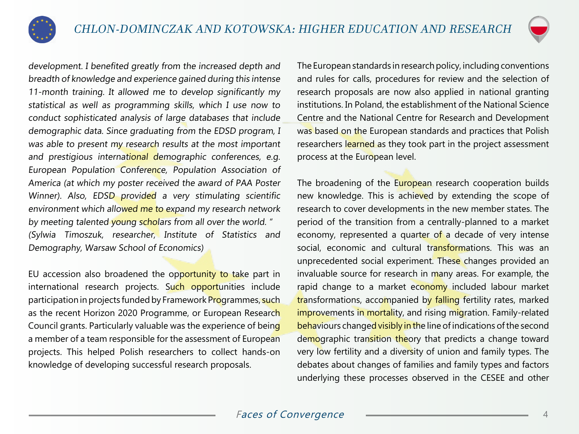

development. I benefited greatly from the increased depth and breadth of knowledge and experience gained during this intense 11-month training. It allowed me to develop significantly my statistical as well as programming skills, which I use now to conduct sophisticated analysis of large databases that include demographic data. Since graduating from the EDSD program, I was able to present my research results at the most important and prestigious international demographic conferences, e.g. European Population Conference, Population Association of America (at which my poster received the award of PAA Poster Winner). Also, EDSD provided a very stimulating scientific environment which allowed me to expand my research network by meeting talented young scholars from all over the world. " (Sylwia Timoszuk, researcher, Institute of Statistics and Demography, Warsaw School of Economics)

EU accession also broadened the opportunity to take part in international research projects. Such opportunities include participation in projects funded by Framework Programmes, such as the recent Horizon 2020 Programme, or European Research Council grants. Particularly valuable was the experience of being a member of a team responsible for the assessment of European projects. This helped Polish researchers to collect hands-on knowledge of developing successful research proposals.

The European standards in research policy, including conventions and rules for calls, procedures for review and the selection of research proposals are now also applied in national granting institutions. In Poland, the establishment of the National Science Centre and the National Centre for Research and Development was based on the European standards and practices that Polish researchers learned as they took part in the project assessment process at the European level.

The broadening of the European research cooperation builds new knowledge. This is achieved by extending the scope of research to cover developments in the new member states. The period of the transition from a centrally-planned to a market economy, represented a quarter of a decade of very intense social, economic and cultural transformations. This was an unprecedented social experiment. These changes provided an invaluable source for research in many areas. For example, the rapid change to a market economy included labour market transformations, accompanied by falling fertility rates, marked improvements in mortality, and rising migration. Family-related behaviours changed visibly in the line of indications of the second demographic transition theory that predicts a change toward very low fertility and a diversity of union and family types. The debates about changes of families and family types and factors underlying these processes observed in the CESEE and other